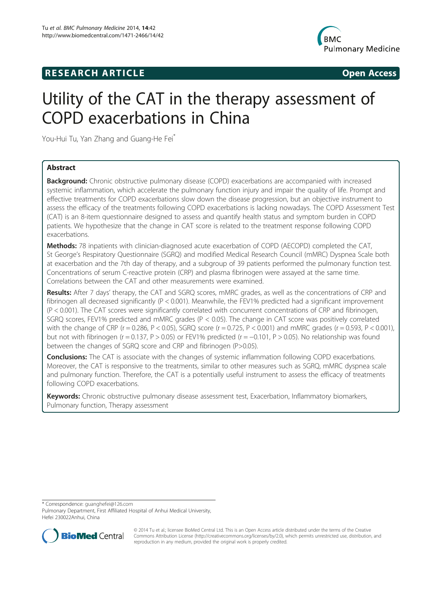# **RESEARCH ARTICLE Example 2014 CONSIDERING CONSIDERING CONSIDERING CONSIDERING CONSIDERING CONSIDERING CONSIDERING CONSIDERING CONSIDERING CONSIDERING CONSIDERING CONSIDERING CONSIDERING CONSIDERING CONSIDERING CONSIDE**



# Utility of the CAT in the therapy assessment of COPD exacerbations in China

You-Hui Tu, Yan Zhang and Guang-He Fei<sup>®</sup>

# Abstract

**Background:** Chronic obstructive pulmonary disease (COPD) exacerbations are accompanied with increased systemic inflammation, which accelerate the pulmonary function injury and impair the quality of life. Prompt and effective treatments for COPD exacerbations slow down the disease progression, but an objective instrument to assess the efficacy of the treatments following COPD exacerbations is lacking nowadays. The COPD Assessment Test (CAT) is an 8-item questionnaire designed to assess and quantify health status and symptom burden in COPD patients. We hypothesize that the change in CAT score is related to the treatment response following COPD exacerbations.

Methods: 78 inpatients with clinician-diagnosed acute exacerbation of COPD (AECOPD) completed the CAT, St George's Respiratory Questionnaire (SGRQ) and modified Medical Research Council (mMRC) Dyspnea Scale both at exacerbation and the 7th day of therapy, and a subgroup of 39 patients performed the pulmonary function test. Concentrations of serum C-reactive protein (CRP) and plasma fibrinogen were assayed at the same time. Correlations between the CAT and other measurements were examined.

Results: After 7 days' therapy, the CAT and SGRQ scores, mMRC grades, as well as the concentrations of CRP and fibrinogen all decreased significantly (P < 0.001). Meanwhile, the FEV1% predicted had a significant improvement (P < 0.001). The CAT scores were significantly correlated with concurrent concentrations of CRP and fibrinogen, SGRQ scores, FEV1% predicted and mMRC grades ( $P < 0.05$ ). The change in CAT score was positively correlated with the change of CRP ( $r = 0.286$ ,  $P < 0.05$ ), SGRQ score ( $r = 0.725$ ,  $P < 0.001$ ) and mMRC grades ( $r = 0.593$ ,  $P < 0.001$ ), but not with fibrinogen ( $r = 0.137$ , P > 0.05) or FEV1% predicted ( $r = -0.101$ , P > 0.05). No relationship was found between the changes of SGRQ score and CRP and fibrinogen (P>0.05).

**Conclusions:** The CAT is associate with the changes of systemic inflammation following COPD exacerbations. Moreover, the CAT is responsive to the treatments, similar to other measures such as SGRQ, mMRC dyspnea scale and pulmonary function. Therefore, the CAT is a potentially useful instrument to assess the efficacy of treatments following COPD exacerbations.

Keywords: Chronic obstructive pulmonary disease assessment test, Exacerbation, Inflammatory biomarkers, Pulmonary function, Therapy assessment

\* Correspondence: [guanghefei@126.com](mailto:guanghefei@126.com)

Pulmonary Department, First Affiliated Hospital of Anhui Medical University, Hefei 230022Anhui, China



© 2014 Tu et al.; licensee BioMed Central Ltd. This is an Open Access article distributed under the terms of the Creative Commons Attribution License [\(http://creativecommons.org/licenses/by/2.0\)](http://creativecommons.org/licenses/by/2.0), which permits unrestricted use, distribution, and reproduction in any medium, provided the original work is properly credited.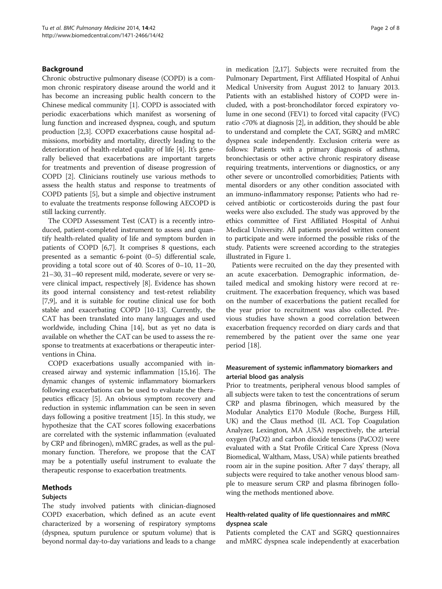#### Background

Chronic obstructive pulmonary disease (COPD) is a common chronic respiratory disease around the world and it has become an increasing public health concern to the Chinese medical community [[1](#page-6-0)]. COPD is associated with periodic exacerbations which manifest as worsening of lung function and increased dyspnea, cough, and sputum production [[2,3\]](#page-6-0). COPD exacerbations cause hospital admissions, morbidity and mortality, directly leading to the deterioration of health-related quality of life [[4\]](#page-6-0). It's generally believed that exacerbations are important targets for treatments and prevention of disease progression of COPD [\[2](#page-6-0)]. Clinicians routinely use various methods to assess the health status and response to treatments of COPD patients [\[5\]](#page-6-0), but a simple and objective instrument to evaluate the treatments response following AECOPD is still lacking currently.

The COPD Assessment Test (CAT) is a recently introduced, patient-completed instrument to assess and quantify health-related quality of life and symptom burden in patients of COPD [\[6,7\]](#page-6-0). It comprises 8 questions, each presented as a semantic 6-point (0–5) differential scale, providing a total score out of 40. Scores of 0–10, 11–20, 21–30, 31–40 represent mild, moderate, severe or very severe clinical impact, respectively [\[8\]](#page-6-0). Evidence has shown its good internal consistency and test-retest reliability [[7,9](#page-6-0)], and it is suitable for routine clinical use for both stable and exacerbating COPD [[10](#page-6-0)-[13\]](#page-6-0). Currently, the CAT has been translated into many languages and used worldwide, including China [[14](#page-6-0)], but as yet no data is available on whether the CAT can be used to assess the response to treatments at exacerbations or therapeutic interventions in China.

COPD exacerbations usually accompanied with increased airway and systemic inflammation [\[15,16](#page-6-0)]. The dynamic changes of systemic inflammatory biomarkers following exacerbations can be used to evaluate the therapeutics efficacy [\[5](#page-6-0)]. An obvious symptom recovery and reduction in systemic inflammation can be seen in seven days following a positive treatment [[15](#page-6-0)]. In this study, we hypothesize that the CAT scores following exacerbations are correlated with the systemic inflammation (evaluated by CRP and fibrinogen), mMRC grades, as well as the pulmonary function. Therefore, we propose that the CAT may be a potentially useful instrument to evaluate the therapeutic response to exacerbation treatments.

#### Methods

#### Subjects

The study involved patients with clinician-diagnosed COPD exacerbation, which defined as an acute event characterized by a worsening of respiratory symptoms (dyspnea, sputum purulence or sputum volume) that is beyond normal day-to-day variations and leads to a change in medication [[2,17](#page-6-0)]. Subjects were recruited from the Pulmonary Department, First Affiliated Hospital of Anhui Medical University from August 2012 to January 2013. Patients with an established history of COPD were included, with a post-bronchodilator forced expiratory volume in one second (FEV1) to forced vital capacity (FVC) ratio <70% at diagnosis [[2\]](#page-6-0), in addition, they should be able to understand and complete the CAT, SGRQ and mMRC dyspnea scale independently. Exclusion criteria were as follows: Patients with a primary diagnosis of asthma, bronchiectasis or other active chronic respiratory disease requiring treatments, interventions or diagnostics, or any other severe or uncontrolled comorbidities; Patients with mental disorders or any other condition associated with an immuno-inflammatory response; Patients who had received antibiotic or corticosteroids during the past four weeks were also excluded. The study was approved by the ethics committee of First Affiliated Hospital of Anhui Medical University. All patients provided written consent to participate and were informed the possible risks of the study. Patients were screened according to the strategies illustrated in Figure [1.](#page-2-0)

Patients were recruited on the day they presented with an acute exacerbation. Demographic information, detailed medical and smoking history were record at recruitment. The exacerbation frequency, which was based on the number of exacerbations the patient recalled for the year prior to recruitment was also collected. Previous studies have shown a good correlation between exacerbation frequency recorded on diary cards and that remembered by the patient over the same one year period [\[18\]](#page-7-0).

# Measurement of systemic inflammatory biomarkers and arterial blood gas analysis

Prior to treatments, peripheral venous blood samples of all subjects were taken to test the concentrations of serum CRP and plasma fibrinogen, which measured by the Modular Analytics E170 Module (Roche, Burgess Hill, UK) and the Claus method (IL ACL Top Coagulation Analyzer, Lexington, MA ,USA) respectively, the arterial oxygen (PaO2) and carbon dioxide tensions (PaCO2) were evaluated with a Stat Profile Critical Care Xpress (Nova Biomedical, Waltham, Mass, USA) while patients breathed room air in the supine position. After 7 days' therapy, all subjects were required to take another venous blood sample to measure serum CRP and plasma fibrinogen following the methods mentioned above.

# Health-related quality of life questionnaires and mMRC dyspnea scale

Patients completed the CAT and SGRQ questionnaires and mMRC dyspnea scale independently at exacerbation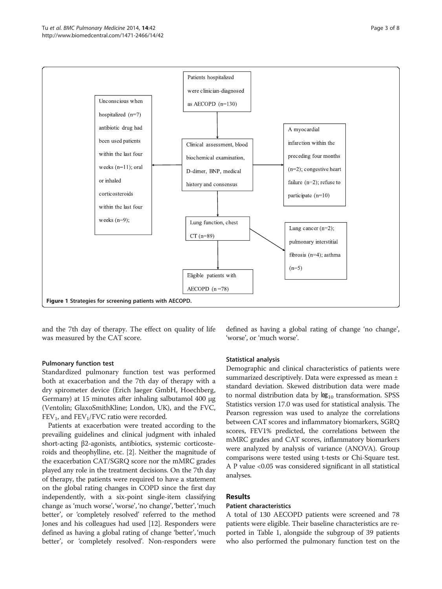<span id="page-2-0"></span>

and the 7th day of therapy. The effect on quality of life was measured by the CAT score.

#### Pulmonary function test

Standardized pulmonary function test was performed both at exacerbation and the 7th day of therapy with a dry spirometer device (Erich Jaeger GmbH, Hoechberg, Germany) at 15 minutes after inhaling salbutamol 400 μg (Ventolin; GlaxoSmithKline; London, UK), and the FVC,  $FEV<sub>1</sub>$ , and  $FEV<sub>1</sub>/FVC$  ratio were recorded.

Patients at exacerbation were treated according to the prevailing guidelines and clinical judgment with inhaled short-acting β2-agonists, antibiotics, systemic corticosteroids and theophylline, etc. [\[2](#page-6-0)]. Neither the magnitude of the exacerbation CAT/SGRQ score nor the mMRC grades played any role in the treatment decisions. On the 7th day of therapy, the patients were required to have a statement on the global rating changes in COPD since the first day independently, with a six-point single-item classifying change as 'much worse', 'worse', 'no change', 'better', 'much better', or 'completely resolved' referred to the method Jones and his colleagues had used [\[12\]](#page-6-0). Responders were defined as having a global rating of change 'better', 'much better', or 'completely resolved'. Non-responders were defined as having a global rating of change 'no change', 'worse', or 'much worse'.

#### Statistical analysis

Demographic and clinical characteristics of patients were summarized descriptively. Data were expressed as mean ± standard deviation. Skewed distribution data were made to normal distribution data by  $log_{10}$  transformation. SPSS Statistics version 17.0 was used for statistical analysis. The Pearson regression was used to analyze the correlations between CAT scores and inflammatory biomarkers, SGRQ scores, FEV1% predicted, the correlations between the mMRC grades and CAT scores, inflammatory biomarkers were analyzed by analysis of variance (ANOVA). Group comparisons were tested using t-tests or Chi-Square test. A P value <0.05 was considered significant in all statistical analyses.

### Results

#### Patient characteristics

A total of 130 AECOPD patients were screened and 78 patients were eligible. Their baseline characteristics are reported in Table [1,](#page-3-0) alongside the subgroup of 39 patients who also performed the pulmonary function test on the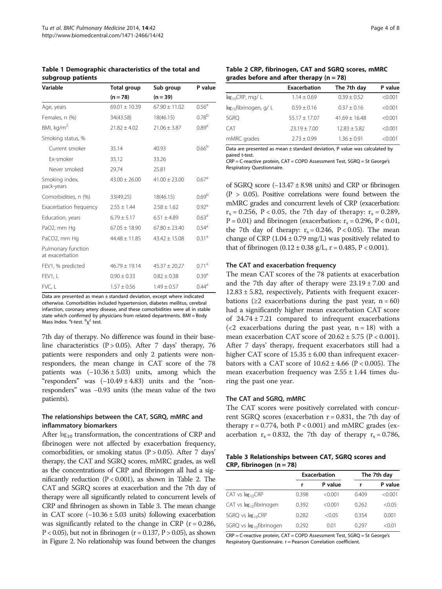<span id="page-3-0"></span>

| Table 1 Demographic characteristics of the total and |  |
|------------------------------------------------------|--|
| subgroup patients                                    |  |

| Variable                              | <b>Total group</b> | Sub group         | P value           |
|---------------------------------------|--------------------|-------------------|-------------------|
|                                       | $(n = 78)$         | $(n = 39)$        |                   |
| Age, years                            | $69.01 \pm 10.39$  | $67.90 + 11.02$   | 0.56 <sup>a</sup> |
| Females, n (%)                        | 34(43.58)          | 18(46.15)         | 0.78 <sup>b</sup> |
| BMI, $kg/m2$                          | $71.87 + 4.07$     | $21.06 + 3.87$    | 0.89 <sup>a</sup> |
| Smoking status, %                     |                    |                   |                   |
| Current smoker                        | 35.14              | 40.93             | 0.66 <sup>b</sup> |
| Fx-smoker                             | 35.12              | 33.26             |                   |
| Never smoked                          | 29.74              | 25.81             |                   |
| Smoking index,<br>pack-years          | $43.00 \pm 26.00$  | $41.00 + 23.00$   | 0.67 <sup>a</sup> |
| Comorbidities, n (%)                  | 33(49.25)          | 18(46.15)         | 0.69 <sup>b</sup> |
| Exacerbation frequency                | $2.55 \pm 1.44$    | $2.58 \pm 1.62$   | 0.92 <sup>a</sup> |
| Education, years                      | $6.79 \pm 5.17$    | $6.51 \pm 4.89$   | 0.63 <sup>a</sup> |
| PaO2, mm Hq                           | $67.05 \pm 18.90$  | $67.80 \pm 23.40$ | $0.54^{\circ}$    |
| PaCO2, mm Hq                          | $44.48 \pm 11.85$  | $43.42 \pm 15.08$ | 0.31 <sup>a</sup> |
| Pulmonary function<br>at exacerbation |                    |                   |                   |
| FEV1, % predicted                     | $46.79 + 19.14$    | $45.37 + 20.27$   | 0.71 <sup>a</sup> |
| FEV1, L                               | $0.90 \pm 0.33$    | $0.82 \pm 0.38$   | 0.39 <sup>a</sup> |
| FVC. L                                | $1.57 \pm 0.56$    | $1.49 \pm 0.57$   | $0.44^{a}$        |

Data are presented as mean ± standard deviation, except where indicated otherwise. Comorbidities included hypertension, diabetes mellitus, cerebral infarction, coronary artery disease, and these comorbidities were all in stable state which confirmed by physicians from related departments. BMI = Body Mass Index. <sup>a</sup>t-test. <sup>b</sup>χ<sup>2</sup> test.

7th day of therapy. No difference was found in their baseline characteristics  $(P > 0.05)$ . After 7 days' therapy, 76 patients were responders and only 2 patients were nonresponders, the mean change in CAT score of the 78 patients was  $(-10.36 \pm 5.03)$  units, among which the "responders" was  $(-10.49 \pm 4.83)$  units and the "nonresponders" was −0.93 units (the mean value of the two patients).

## The relationships between the CAT, SGRQ, mMRC and inflammatory biomarkers

After  $log_{10}$  transformation, the concentrations of CRP and fibrinogen were not affected by exacerbation frequency, comorbidities, or smoking status  $(P > 0.05)$ . After 7 days' therapy, the CAT and SGRQ scores, mMRC grades, as well as the concentrations of CRP and fibrinogen all had a significantly reduction ( $P < 0.001$ ), as shown in Table 2. The CAT and SGRQ scores at exacerbation and the 7th day of therapy were all significantly related to concurrent levels of CRP and fibrinogen as shown in Table 3. The mean change in CAT score (−10.36 ± 5.03 units) following exacerbation was significantly related to the change in CRP  $(r = 0.286,$  $P < 0.05$ ), but not in fibrinogen (r = 0.137, P > 0.05), as shown in Figure [2.](#page-4-0) No relationship was found between the changes

| Table 2 CRP, fibrinogen, CAT and SGRQ scores, mMRC |  |  |  |  |
|----------------------------------------------------|--|--|--|--|
| grades before and after therapy $(n = 78)$         |  |  |  |  |

|                             | <b>Exacerbation</b> | The 7th day     | P value |
|-----------------------------|---------------------|-----------------|---------|
| $log_{10}CRP$ , mg/ L       | $1.14 \pm 0.69$     | $0.39 + 0.52$   | < 0.001 |
| $\log_{10}$ fibrinogen, g/L | $0.59 + 0.16$       | $0.37 + 0.16$   | < 0.001 |
| SGRQ                        | $55.17 + 17.07$     | $41.69 + 16.48$ | < 0.001 |
| <b>CAT</b>                  | $23.19 + 7.00$      | $12.83 + 5.82$  | < 0.001 |
| mMRC grades                 | $2.73 \pm 0.99$     | $1.36 \pm 0.91$ | < 0.001 |

Data are presented as mean ± standard deviation, P value was calculated by paired t-test.

CRP = C-reactive protein, CAT = COPD Assessment Test, SGRQ = St George's Respiratory Questionnaire.

of SGRQ score (−13.47 ± 8.98 units) and CRP or fibrinogen  $(P > 0.05)$ . Positive correlations were found between the mMRC grades and concurrent levels of CRP (exacerbation:  $r_s = 0.256$ , P < 0.05, the 7th day of therapy:  $r_s = 0.289$ ,  $P = 0.01$ ) and fibrinogen (exacerbation:  $r_s = 0.296$ ,  $P < 0.01$ , the 7th day of therapy:  $r_s = 0.246$ ,  $P < 0.05$ ). The mean change of CRP ( $1.04 \pm 0.79$  mg/L) was positively related to that of fibrinogen  $(0.12 \pm 0.38 \text{ g/L}, r = 0.485, P < 0.001)$ .

#### The CAT and exacerbation frequency

The mean CAT scores of the 78 patients at exacerbation and the 7th day after of therapy were  $23.19 \pm 7.00$  and  $12.83 \pm 5.82$ , respectively, Patients with frequent exacerbations ( $\geq 2$  exacerbations during the past year, n = 60) had a significantly higher mean exacerbation CAT score of  $24.74 \pm 7.21$  compared to infrequent exacerbations  $\left($  <2 exacerbations during the past year, n = 18) with a mean exacerbation CAT score of  $20.62 \pm 5.75$  (P < 0.001). After 7 days' therapy, frequent exacerbators still had a higher CAT score of  $15.35 \pm 6.00$  than infrequent exacerbators with a CAT score of  $10.62 \pm 4.66$  (P < 0.005). The mean exacerbation frequency was  $2.55 \pm 1.44$  times during the past one year.

#### The CAT and SGRQ, mMRC

The CAT scores were positively correlated with concurrent SGRQ scores (exacerbation  $r = 0.831$ , the 7th day of therapy  $r = 0.774$ , both  $P < 0.001$ ) and mMRC grades (exacerbation  $r_s = 0.832$ , the 7th day of therapy  $r_s = 0.786$ ,

| Table 3 Relationships between CAT, SGRQ scores and |  |
|----------------------------------------------------|--|
| CRP, fibrinogen (n = 78)                           |  |

|                               | <b>Exacerbation</b> |         | The 7th day |         |
|-------------------------------|---------------------|---------|-------------|---------|
|                               |                     | P value |             | P value |
| CAT vs log <sub>10</sub> CRP  | 0.398               | < 0.001 | 0.409       | < 0.001 |
| CAT vs $log_{10}$ fibrinogen  | 0.392               | < 0.001 | 0.262       | < 0.05  |
| $SGRQ$ vs $log_{10}CRP$       | 0.282               | < 0.05  | 0.354       | 0.001   |
| SGRQ vs $log_{10}$ fibrinogen | በ 292               | 0.01    | በ 297       | < 0.01  |

CRP = C-reactive protein, CAT = COPD Assessment Test, SGRQ = St George's Respiratory Questionnaire. r = Pearson Correlation coefficient.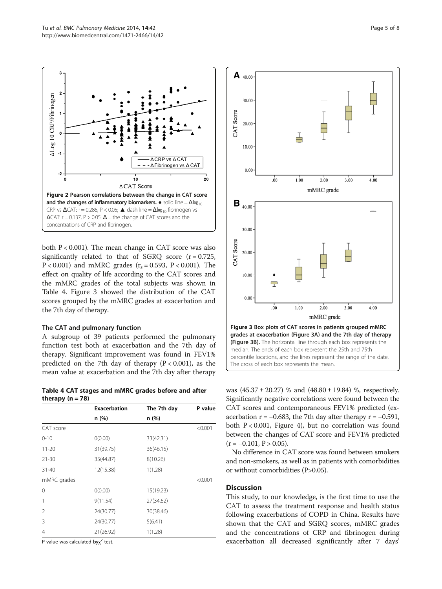<span id="page-4-0"></span>

both P < 0.001). The mean change in CAT score was also significantly related to that of SGRQ score  $(r = 0.725,$  $P < 0.001$ ) and mMRC grades ( $r_s = 0.593$ ,  $P < 0.001$ ). The effect on quality of life according to the CAT scores and the mMRC grades of the total subjects was shown in Table 4. Figure 3 showed the distribution of the CAT scores grouped by the mMRC grades at exacerbation and the 7th day of therapy.

#### The CAT and pulmonary function

A subgroup of 39 patients performed the pulmonary function test both at exacerbation and the 7th day of therapy. Significant improvement was found in FEV1% predicted on the 7th day of therapy  $(P < 0.001)$ , as the mean value at exacerbation and the 7th day after therapy

Table 4 CAT stages and mMRC grades before and after therapy  $(n = 78)$ 

|                | <b>Exacerbation</b> | The 7th day | P value |
|----------------|---------------------|-------------|---------|
|                | n (%)               | n(%)        |         |
| CAT score      |                     |             | < 0.001 |
| $0 - 10$       | O(0.00)             | 33(42.31)   |         |
| $11 - 20$      | 31(39.75)           | 36(46.15)   |         |
| $21 - 30$      | 35(44.87)           | 8(10.26)    |         |
| $31 - 40$      | 12(15.38)           | 1(1.28)     |         |
| mMRC grades    |                     |             | < 0.001 |
| 0              | O(0.00)             | 15(19.23)   |         |
| 1              | 9(11.54)            | 27(34.62)   |         |
| 2              | 24(30.77)           | 30(38.46)   |         |
| 3              | 24(30.77)           | 5(6.41)     |         |
| $\overline{4}$ | 21(26.92)           | 1(1.28)     |         |

P value was calculated byx<sup>2</sup> test.



was  $(45.37 \pm 20.27)$  % and  $(48.80 \pm 19.84)$  %, respectively. Significantly negative correlations were found between the CAT scores and contemporaneous FEV1% predicted (exacerbation  $r = -0.683$ , the 7th day after therapy  $r = -0.591$ , both P < 0.001, Figure [4\)](#page-5-0), but no correlation was found between the changes of CAT score and FEV1% predicted  $(r = -0.101, P > 0.05)$ .

No difference in CAT score was found between smokers and non-smokers, as well as in patients with comorbidities or without comorbidities (P>0.05).

#### **Discussion**

This study, to our knowledge, is the first time to use the CAT to assess the treatment response and health status following exacerbations of COPD in China. Results have shown that the CAT and SGRQ scores, mMRC grades and the concentrations of CRP and fibrinogen during exacerbation all decreased significantly after 7 days'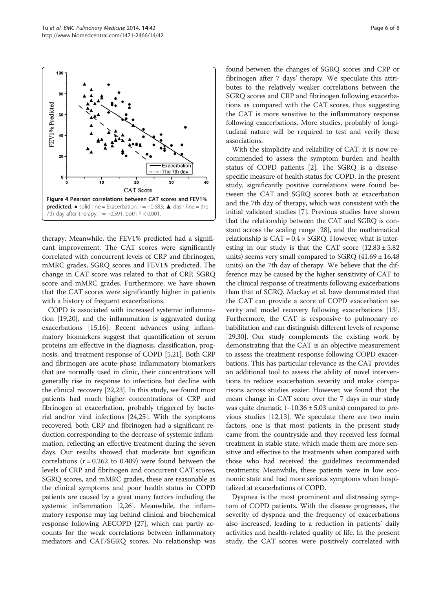<span id="page-5-0"></span>

therapy. Meanwhile, the FEV1% predicted had a significant improvement. The CAT scores were significantly correlated with concurrent levels of CRP and fibrinogen, mMRC grades, SGRQ scores and FEV1% predicted. The change in CAT score was related to that of CRP, SGRQ score and mMRC grades. Furthermore, we have shown that the CAT scores were significantly higher in patients with a history of frequent exacerbations.

COPD is associated with increased systemic inflammation [\[19,20\]](#page-7-0), and the inflammation is aggravated during exacerbations [\[15,16\]](#page-6-0). Recent advances using inflammatory biomarkers suggest that quantification of serum proteins are effective in the diagnosis, classification, prognosis, and treatment response of COPD [\[5](#page-6-0)[,21\]](#page-7-0). Both CRP and fibrinogen are acute-phase inflammatory biomarkers that are normally used in clinic, their concentrations will generally rise in response to infections but decline with the clinical recovery [\[22,23](#page-7-0)]. In this study, we found most patients had much higher concentrations of CRP and fibrinogen at exacerbation, probably triggered by bacterial and/or viral infections [\[24,25](#page-7-0)]. With the symptoms recovered, both CRP and fibrinogen had a significant reduction corresponding to the decrease of systemic inflammation, reflecting an effective treatment during the seven days. Our results showed that moderate but significan correlations  $(r = 0.262$  to 0.409) were found between the levels of CRP and fibrinogen and concurrent CAT scores, SGRQ scores, and mMRC grades, these are reasonable as the clinical symptoms and poor health status in COPD patients are caused by a great many factors including the systemic inflammation [[2,](#page-6-0)[26](#page-7-0)]. Meanwhile, the inflammatory response may lag behind clinical and biochemical response following AECOPD [\[27](#page-7-0)], which can partly accounts for the weak correlations between inflammatory mediators and CAT/SGRQ scores. No relationship was found between the changes of SGRQ scores and CRP or fibrinogen after 7 days' therapy. We speculate this attributes to the relatively weaker correlations between the SGRQ scores and CRP and fibrinogen following exacerbations as compared with the CAT scores, thus suggesting the CAT is more sensitive to the inflammatory response following exacerbations. More studies, probably of longitudinal nature will be required to test and verify these associations.

With the simplicity and reliability of CAT, it is now recommended to assess the symptom burden and health status of COPD patients [\[2](#page-6-0)]. The SGRQ is a diseasespecific measure of health status for COPD. In the present study, significantly positive correlations were found between the CAT and SGRQ scores both at exacerbation and the 7th day of therapy, which was consistent with the initial validated studies [\[7\]](#page-6-0). Previous studies have shown that the relationship between the CAT and SGRQ is constant across the scaling range [[28](#page-7-0)], and the mathematical relationship is  $CAT = 0.4 \times SGRQ$ . However, what is interesting in our study is that the CAT score  $(12.83 \pm 5.82)$ units) seems very small compared to  $SGRQ$  (41.69  $\pm$  16.48 units) on the 7th day of therapy. We believe that the difference may be caused by the higher sensitivity of CAT to the clinical response of treatments following exacerbations than that of SGRQ. Mackay et al. have demonstrated that the CAT can provide a score of COPD exacerbation severity and model recovery following exacerbations [[13](#page-6-0)]. Furthermore, the CAT is responsive to pulmonary rehabilitation and can distinguish different levels of response [[29](#page-7-0),[30](#page-7-0)]. Our study complements the existing work by demonstrating that the CAT is an objective measurement to assess the treatment response following COPD exacerbations. This has particular relevance as the CAT provides an additional tool to assess the ability of novel interventions to reduce exacerbation severity and make comparisons across studies easier. However, we found that the mean change in CAT score over the 7 days in our study was quite dramatic  $(-10.36 \pm 5.03 \text{ units})$  compared to previous studies [\[12,13\]](#page-6-0). We speculate there are two main factors, one is that most patients in the present study came from the countryside and they received less formal treatment in stable state, which made them are more sensitive and effective to the treatments when compared with those who had received the guidelines recommended treatments; Meanwhile, these patients were in low economic state and had more serious symptoms when hospitalized at exacerbations of COPD.

Dyspnea is the most prominent and distressing symptom of COPD patients. With the disease progresses, the severity of dyspnea and the frequency of exacerbations also increased, leading to a reduction in patients' daily activities and health-related quality of life. In the present study, the CAT scores were positively correlated with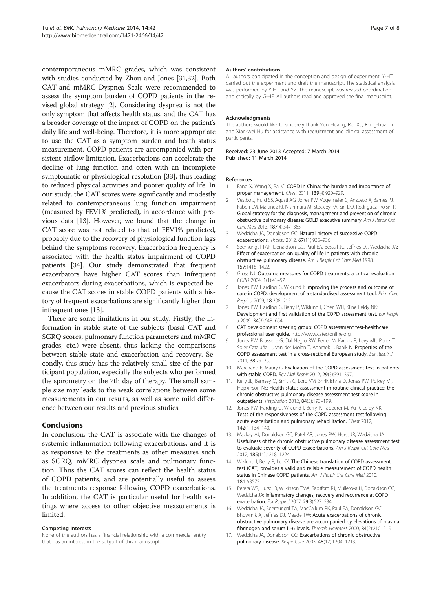<span id="page-6-0"></span>contemporaneous mMRC grades, which was consistent with studies conducted by Zhou and Jones [\[31,32](#page-7-0)]. Both CAT and mMRC Dyspnea Scale were recommended to assess the symptom burden of COPD patients in the revised global strategy [2]. Considering dyspnea is not the only symptom that affects health status, and the CAT has a broader coverage of the impact of COPD on the patient's daily life and well-being. Therefore, it is more appropriate to use the CAT as a symptom burden and heath status measurement. COPD patients are accompanied with persistent airflow limitation. Exacerbations can accelerate the decline of lung function and often with an incomplete symptomatic or physiological resolution [[33](#page-7-0)], thus leading to reduced physical activities and poorer quality of life. In our study, the CAT scores were significantly and modestly related to contemporaneous lung function impairment (measured by FEV1% predicted), in accordance with previous data [13]. However, we found that the change in CAT score was not related to that of FEV1% predicted, probably due to the recovery of physiological function lags behind the symptoms recovery. Exacerbation frequency is associated with the health status impairment of COPD patients [\[34\]](#page-7-0). Our study demonstrated that frequent exacerbators have higher CAT scores than infrequent exacerbators during exacerbations, which is expected because the CAT scores in stable COPD patients with a history of frequent exacerbations are significantly higher than infrequent ones [13].

There are some limitations in our study. Firstly, the information in stable state of the subjects (basal CAT and SGRQ scores, pulmonary function parameters and mMRC grades, etc.) were absent, thus lacking the comparisons between stable state and exacerbation and recovery. Secondly, this study has the relatively small size of the participant population, especially the subjects who performed the spirometry on the 7th day of therapy. The small sample size may leads to the weak correlations between some measurements in our results, as well as some mild difference between our results and previous studies.

#### **Conclusions**

In conclusion, the CAT is associate with the changes of systemic inflammation following exacerbations, and it is as responsive to the treatments as other measures such as SGRQ, mMRC dyspnea scale and pulmonary function. Thus the CAT scores can reflect the health status of COPD patients, and are potentially useful to assess the treatments response following COPD exacerbations. In addition, the CAT is particular useful for health settings where access to other objective measurements is limited.

#### Competing interests

None of the authors has a financial relationship with a commercial entity that has an interest in the subject of this manuscript.

#### Authors' contributions

All authors participated in the conception and design of experiment. Y-HT carried out the experiment and draft the manuscript. The statistical analysis was performed by Y-HT and YZ. The manuscript was revised coordination and critically by G-HF. All authors read and approved the final manuscript.

#### Acknowledgments

The authors would like to sincerely thank Yun Huang, Rui Xu, Rong-huai Li and Xian-wei Hu for assistance with recruitment and clinical assessment of participants.

Received: 23 June 2013 Accepted: 7 March 2014 Published: 11 March 2014

#### References

- 1. Fang X, Wang X, Bai C: COPD in China: the burden and importance of proper management. Chest 2011, 139(4):920–929.
- 2. Vestbo J, Hurd SS, Agusti AG, Jones PW, Vogelmeier C, Anzueto A, Barnes PJ, Fabbri LM, Martinez FJ, Nishimura M, Stockley RA, Sin DD, Rodriguez- Roisin R: Global strategy for the diagnosis, management and prevention of chronic obstructive pulmonary disease: GOLD executive summary. Am J Respir Crit Care Med 2013, 187(4):347–365.
- 3. Wedzicha JA, Donaldson GC: Natural history of successive COPD exacerbations. Thorax 2012, 67(11):935–936.
- 4. Seemungal TAR, Donaldson GC, Paul EA, Bestall JC, Jeffries DJ, Wedzicha JA: Effect of exacerbation on quality of life in patients with chronic obstructive pulmonary disease. Am J Respir Crit Care Med 1998, 157:1418–1422.
- 5. Gross NJ: Outcome measures for COPD treatments: a critical evaluation. COPD 2004, 1(1):41–57.
- 6. Jones PW, Harding G, Wiklund I: Improving the process and outcome of care in COPD: development of a standardised assessment tool. Prim Care Respir J 2009, 18:208–215.
- 7. Jones PW, Harding G, Berry P, Wiklund I, Chen WH, Kline Leidy NK: Development and first validation of the COPD assessment test. Eur Respir J 2009, 34(3):648-654.
- 8. CAT development steering group: COPD assessment test-healthcare professional user guide. [http://www.catestonline.org.](http://www.catestonline.org/)
- 9. Jones PW, Brusselle G, Dal Negro RW, Ferrer M, Kardos P, Levy ML, Perez T, Soler Cataluña JJ, van der Molen T, Adamek L, Banik N: Properties of the COPD assessment test in a cross-sectional European study. Eur Respir J 2011, 38:29–35.
- 10. Marchand E, Maury G: Evaluation of the COPD assessment test in patients with stable COPD. Rev Mal Respir 2012, 29(3):391–397.
- 11. Kelly JL, Bamsey O, Smith C, Lord VM, Shrikrishna D, Jones PW, Polkey MI, Hopkinson NS: Health status assessment in routine clinical practice: the chronic obstructive pulmonary disease assessment test score in outpatients. Respiration 2012, 84(3):193–199.
- 12. Jones PW, Harding G, Wiklund I, Berry P, Tabberer M, Yu R, Leidy NK: Tests of the responsiveness of the COPD assessment test following acute exacerbation and pulmonary rehabilitation. Chest 2012, 142(1):134–140.
- 13. Mackay AJ, Donaldson GC, Patel AR, Jones PW, Hurst JR, Wedzicha JA: Usefulness of the chronic obstructive pulmonary disease assessment test to evaluate severity of COPD exacerbations. Am J Respir Crit Care Med 2012, 185(11):1218–1224.
- 14. Wiklund I, Berry P, Lu KX: The Chinese translation of COPD assessment test (CAT) provides a valid and reliable measurement of COPD health status in Chinese COPD patients. Am J Respir Crit Care Med 2010, 181:A3575.
- 15. Perera WR, Hurst JR, Wilkinson TMA, Sapsford RJ, Mullerova H, Donaldson GC, Wedzicha JA: Inflammatory changes, recovery and recurrence at COPD exacerbation. Eur Respir J 2007, 29(3):527–534.
- 16. Wedzicha JA, Seemungal TA, MacCallum PK, Paul EA, Donaldson GC, Bhowmik A, Jeffries DJ, Meade TW: Acute exacerbations of chronic obstructive pulmonary disease are accompanied by elevations of plasma fibrinogen and serum IL-6 levels. Thromb Haemost 2000, 84(2):210–215.
- 17. Wedzicha JA, Donaldson GC: Exacerbations of chronic obstructive pulmonary disease. Respir Care 2003, 48(12):1204–1213.